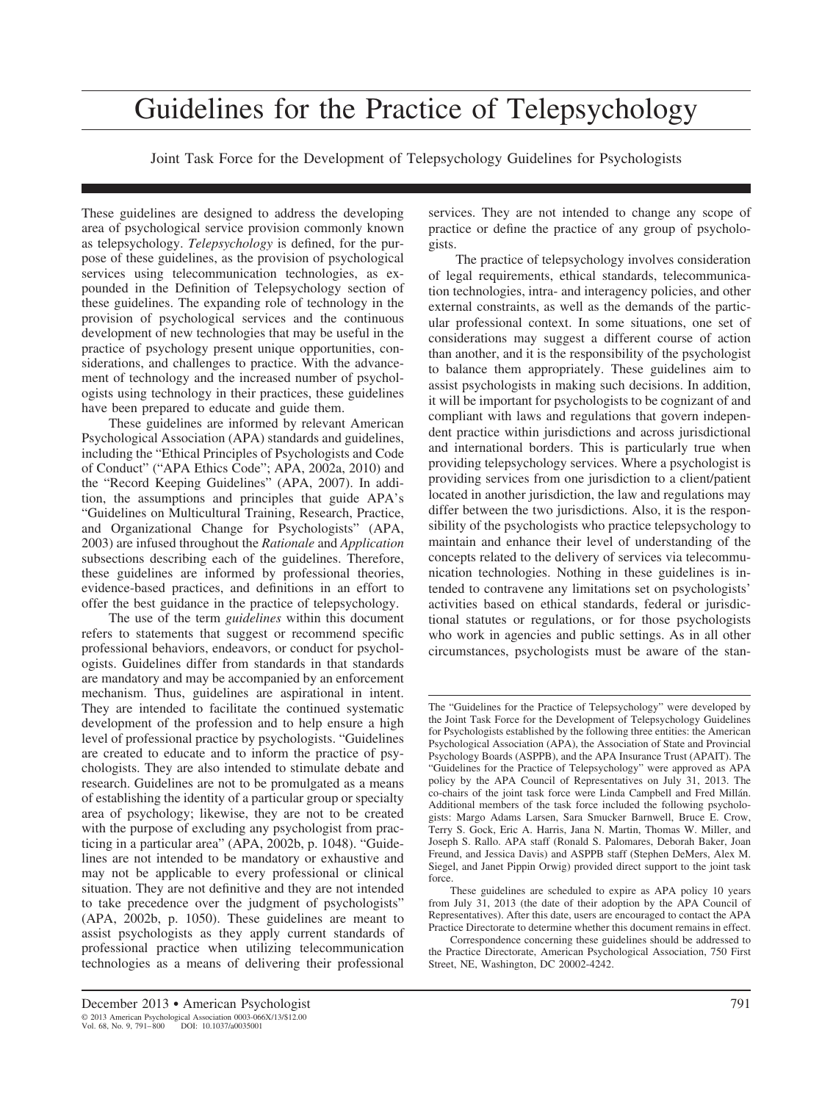# Guidelines for the Practice of Telepsychology

Joint Task Force for the Development of Telepsychology Guidelines for Psychologists

These guidelines are designed to address the developing area of psychological service provision commonly known as telepsychology. *Telepsychology* is defined, for the purpose of these guidelines, as the provision of psychological services using telecommunication technologies, as expounded in the Definition of Telepsychology section of these guidelines. The expanding role of technology in the provision of psychological services and the continuous development of new technologies that may be useful in the practice of psychology present unique opportunities, considerations, and challenges to practice. With the advancement of technology and the increased number of psychologists using technology in their practices, these guidelines have been prepared to educate and guide them.

These guidelines are informed by relevant American Psychological Association (APA) standards and guidelines, including the "Ethical Principles of Psychologists and Code of Conduct" ("APA Ethics Code"; APA, 2002a, 2010) and the "Record Keeping Guidelines" (APA, 2007). In addition, the assumptions and principles that guide APA's "Guidelines on Multicultural Training, Research, Practice, and Organizational Change for Psychologists" (APA, 2003) are infused throughout the *Rationale* and *Application* subsections describing each of the guidelines. Therefore, these guidelines are informed by professional theories, evidence-based practices, and definitions in an effort to offer the best guidance in the practice of telepsychology.

The use of the term *guidelines* within this document refers to statements that suggest or recommend specific professional behaviors, endeavors, or conduct for psychologists. Guidelines differ from standards in that standards are mandatory and may be accompanied by an enforcement mechanism. Thus, guidelines are aspirational in intent. They are intended to facilitate the continued systematic development of the profession and to help ensure a high level of professional practice by psychologists. "Guidelines are created to educate and to inform the practice of psychologists. They are also intended to stimulate debate and research. Guidelines are not to be promulgated as a means of establishing the identity of a particular group or specialty area of psychology; likewise, they are not to be created with the purpose of excluding any psychologist from practicing in a particular area" (APA, 2002b, p. 1048). "Guidelines are not intended to be mandatory or exhaustive and may not be applicable to every professional or clinical situation. They are not definitive and they are not intended to take precedence over the judgment of psychologists" (APA, 2002b, p. 1050). These guidelines are meant to assist psychologists as they apply current standards of professional practice when utilizing telecommunication technologies as a means of delivering their professional

services. They are not intended to change any scope of practice or define the practice of any group of psychologists.

The practice of telepsychology involves consideration of legal requirements, ethical standards, telecommunication technologies, intra- and interagency policies, and other external constraints, as well as the demands of the particular professional context. In some situations, one set of considerations may suggest a different course of action than another, and it is the responsibility of the psychologist to balance them appropriately. These guidelines aim to assist psychologists in making such decisions. In addition, it will be important for psychologists to be cognizant of and compliant with laws and regulations that govern independent practice within jurisdictions and across jurisdictional and international borders. This is particularly true when providing telepsychology services. Where a psychologist is providing services from one jurisdiction to a client/patient located in another jurisdiction, the law and regulations may differ between the two jurisdictions. Also, it is the responsibility of the psychologists who practice telepsychology to maintain and enhance their level of understanding of the concepts related to the delivery of services via telecommunication technologies. Nothing in these guidelines is intended to contravene any limitations set on psychologists' activities based on ethical standards, federal or jurisdictional statutes or regulations, or for those psychologists who work in agencies and public settings. As in all other circumstances, psychologists must be aware of the stan-

The "Guidelines for the Practice of Telepsychology" were developed by the Joint Task Force for the Development of Telepsychology Guidelines for Psychologists established by the following three entities: the American Psychological Association (APA), the Association of State and Provincial Psychology Boards (ASPPB), and the APA Insurance Trust (APAIT). The "Guidelines for the Practice of Telepsychology" were approved as APA policy by the APA Council of Representatives on July 31, 2013. The co-chairs of the joint task force were Linda Campbell and Fred Millán. Additional members of the task force included the following psychologists: Margo Adams Larsen, Sara Smucker Barnwell, Bruce E. Crow, Terry S. Gock, Eric A. Harris, Jana N. Martin, Thomas W. Miller, and Joseph S. Rallo. APA staff (Ronald S. Palomares, Deborah Baker, Joan Freund, and Jessica Davis) and ASPPB staff (Stephen DeMers, Alex M. Siegel, and Janet Pippin Orwig) provided direct support to the joint task force.

These guidelines are scheduled to expire as APA policy 10 years from July 31, 2013 (the date of their adoption by the APA Council of Representatives). After this date, users are encouraged to contact the APA Practice Directorate to determine whether this document remains in effect.

Correspondence concerning these guidelines should be addressed to the Practice Directorate, American Psychological Association, 750 First Street, NE, Washington, DC 20002-4242.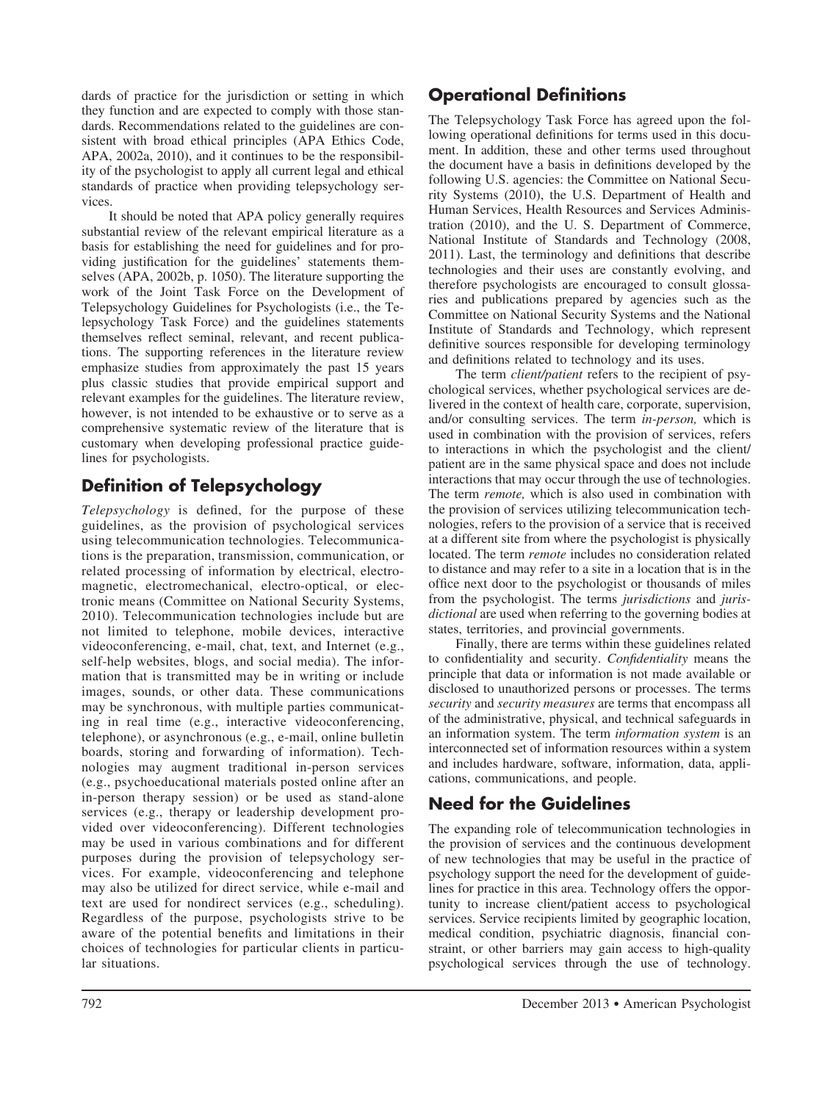dards of practice for the jurisdiction or setting in which they function and are expected to comply with those standards. Recommendations related to the guidelines are consistent with broad ethical principles (APA Ethics Code, APA, 2002a, 2010), and it continues to be the responsibility of the psychologist to apply all current legal and ethical standards of practice when providing telepsychology services.

It should be noted that APA policy generally requires substantial review of the relevant empirical literature as a basis for establishing the need for guidelines and for providing justification for the guidelines' statements themselves (APA, 2002b, p. 1050). The literature supporting the work of the Joint Task Force on the Development of Telepsychology Guidelines for Psychologists (i.e., the Telepsychology Task Force) and the guidelines statements themselves reflect seminal, relevant, and recent publications. The supporting references in the literature review emphasize studies from approximately the past 15 years plus classic studies that provide empirical support and relevant examples for the guidelines. The literature review, however, is not intended to be exhaustive or to serve as a comprehensive systematic review of the literature that is customary when developing professional practice guidelines for psychologists.

# **Definition of Telepsychology**

*Telepsychology* is defined, for the purpose of these guidelines, as the provision of psychological services using telecommunication technologies. Telecommunications is the preparation, transmission, communication, or related processing of information by electrical, electromagnetic, electromechanical, electro-optical, or electronic means (Committee on National Security Systems, 2010). Telecommunication technologies include but are not limited to telephone, mobile devices, interactive videoconferencing, e-mail, chat, text, and Internet (e.g., self-help websites, blogs, and social media). The information that is transmitted may be in writing or include images, sounds, or other data. These communications may be synchronous, with multiple parties communicating in real time (e.g., interactive videoconferencing, telephone), or asynchronous (e.g., e-mail, online bulletin boards, storing and forwarding of information). Technologies may augment traditional in-person services (e.g., psychoeducational materials posted online after an in-person therapy session) or be used as stand-alone services (e.g., therapy or leadership development provided over videoconferencing). Different technologies may be used in various combinations and for different purposes during the provision of telepsychology services. For example, videoconferencing and telephone may also be utilized for direct service, while e-mail and text are used for nondirect services (e.g., scheduling). Regardless of the purpose, psychologists strive to be aware of the potential benefits and limitations in their choices of technologies for particular clients in particular situations.

## **Operational Definitions**

The Telepsychology Task Force has agreed upon the following operational definitions for terms used in this document. In addition, these and other terms used throughout the document have a basis in definitions developed by the following U.S. agencies: the Committee on National Security Systems (2010), the U.S. Department of Health and Human Services, Health Resources and Services Administration (2010), and the U. S. Department of Commerce, National Institute of Standards and Technology (2008, 2011). Last, the terminology and definitions that describe technologies and their uses are constantly evolving, and therefore psychologists are encouraged to consult glossaries and publications prepared by agencies such as the Committee on National Security Systems and the National Institute of Standards and Technology, which represent definitive sources responsible for developing terminology and definitions related to technology and its uses.

The term *client/patient* refers to the recipient of psychological services, whether psychological services are delivered in the context of health care, corporate, supervision, and/or consulting services. The term *in-person,* which is used in combination with the provision of services, refers to interactions in which the psychologist and the client/ patient are in the same physical space and does not include interactions that may occur through the use of technologies. The term *remote,* which is also used in combination with the provision of services utilizing telecommunication technologies, refers to the provision of a service that is received at a different site from where the psychologist is physically located. The term *remote* includes no consideration related to distance and may refer to a site in a location that is in the office next door to the psychologist or thousands of miles from the psychologist. The terms *jurisdictions* and *jurisdictional* are used when referring to the governing bodies at states, territories, and provincial governments.

Finally, there are terms within these guidelines related to confidentiality and security. *Confidentiality* means the principle that data or information is not made available or disclosed to unauthorized persons or processes. The terms *security* and *security measures* are terms that encompass all of the administrative, physical, and technical safeguards in an information system. The term *information system* is an interconnected set of information resources within a system and includes hardware, software, information, data, applications, communications, and people.

# **Need for the Guidelines**

The expanding role of telecommunication technologies in the provision of services and the continuous development of new technologies that may be useful in the practice of psychology support the need for the development of guidelines for practice in this area. Technology offers the opportunity to increase client/patient access to psychological services. Service recipients limited by geographic location, medical condition, psychiatric diagnosis, financial constraint, or other barriers may gain access to high-quality psychological services through the use of technology.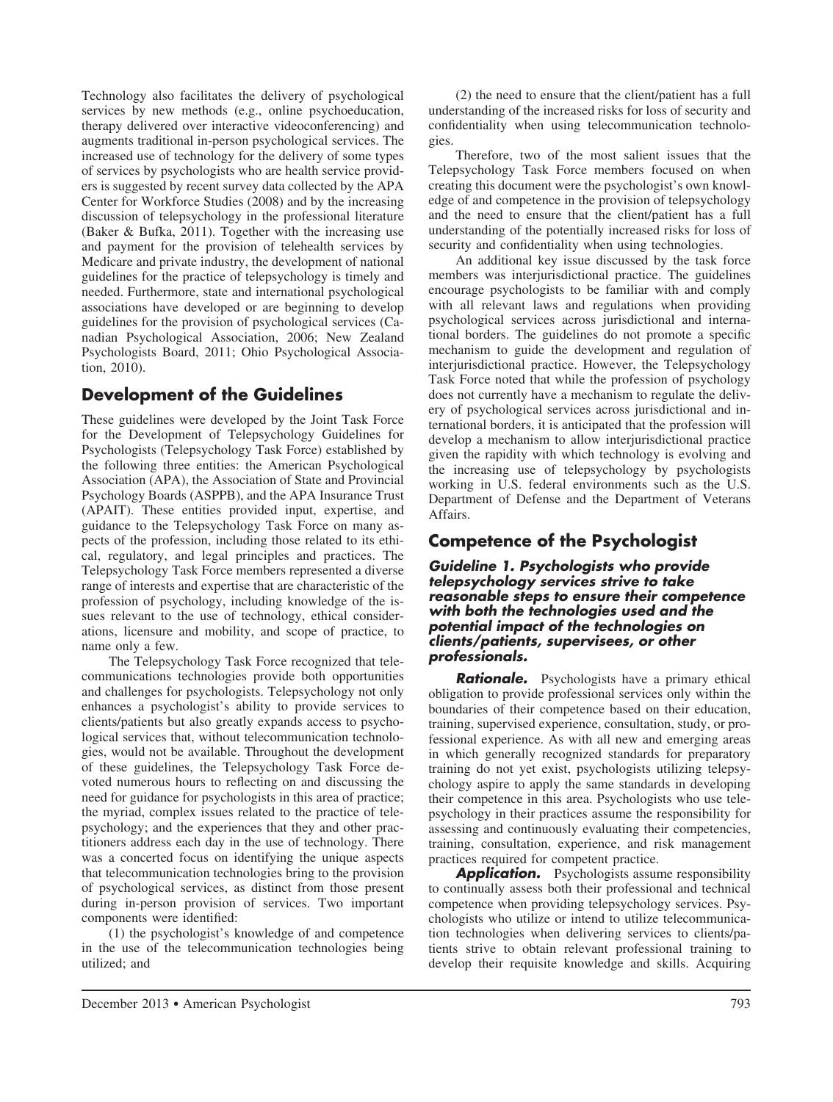Technology also facilitates the delivery of psychological services by new methods (e.g., online psychoeducation, therapy delivered over interactive videoconferencing) and augments traditional in-person psychological services. The increased use of technology for the delivery of some types of services by psychologists who are health service providers is suggested by recent survey data collected by the APA Center for Workforce Studies (2008) and by the increasing discussion of telepsychology in the professional literature (Baker & Bufka, 2011). Together with the increasing use and payment for the provision of telehealth services by Medicare and private industry, the development of national guidelines for the practice of telepsychology is timely and needed. Furthermore, state and international psychological associations have developed or are beginning to develop guidelines for the provision of psychological services (Canadian Psychological Association, 2006; New Zealand Psychologists Board, 2011; Ohio Psychological Association, 2010).

### **Development of the Guidelines**

These guidelines were developed by the Joint Task Force for the Development of Telepsychology Guidelines for Psychologists (Telepsychology Task Force) established by the following three entities: the American Psychological Association (APA), the Association of State and Provincial Psychology Boards (ASPPB), and the APA Insurance Trust (APAIT). These entities provided input, expertise, and guidance to the Telepsychology Task Force on many aspects of the profession, including those related to its ethical, regulatory, and legal principles and practices. The Telepsychology Task Force members represented a diverse range of interests and expertise that are characteristic of the profession of psychology, including knowledge of the issues relevant to the use of technology, ethical considerations, licensure and mobility, and scope of practice, to name only a few.

The Telepsychology Task Force recognized that telecommunications technologies provide both opportunities and challenges for psychologists. Telepsychology not only enhances a psychologist's ability to provide services to clients/patients but also greatly expands access to psychological services that, without telecommunication technologies, would not be available. Throughout the development of these guidelines, the Telepsychology Task Force devoted numerous hours to reflecting on and discussing the need for guidance for psychologists in this area of practice; the myriad, complex issues related to the practice of telepsychology; and the experiences that they and other practitioners address each day in the use of technology. There was a concerted focus on identifying the unique aspects that telecommunication technologies bring to the provision of psychological services, as distinct from those present during in-person provision of services. Two important components were identified:

(1) the psychologist's knowledge of and competence in the use of the telecommunication technologies being utilized; and

(2) the need to ensure that the client/patient has a full understanding of the increased risks for loss of security and confidentiality when using telecommunication technologies.

Therefore, two of the most salient issues that the Telepsychology Task Force members focused on when creating this document were the psychologist's own knowledge of and competence in the provision of telepsychology and the need to ensure that the client/patient has a full understanding of the potentially increased risks for loss of security and confidentiality when using technologies.

An additional key issue discussed by the task force members was interjurisdictional practice. The guidelines encourage psychologists to be familiar with and comply with all relevant laws and regulations when providing psychological services across jurisdictional and international borders. The guidelines do not promote a specific mechanism to guide the development and regulation of interjurisdictional practice. However, the Telepsychology Task Force noted that while the profession of psychology does not currently have a mechanism to regulate the delivery of psychological services across jurisdictional and international borders, it is anticipated that the profession will develop a mechanism to allow interjurisdictional practice given the rapidity with which technology is evolving and the increasing use of telepsychology by psychologists working in U.S. federal environments such as the U.S. Department of Defense and the Department of Veterans Affairs.

### **Competence of the Psychologist**

*Guideline 1. Psychologists who provide telepsychology services strive to take reasonable steps to ensure their competence with both the technologies used and the potential impact of the technologies on clients/patients, supervisees, or other professionals.*

*Rationale.* Psychologists have a primary ethical obligation to provide professional services only within the boundaries of their competence based on their education, training, supervised experience, consultation, study, or professional experience. As with all new and emerging areas in which generally recognized standards for preparatory training do not yet exist, psychologists utilizing telepsychology aspire to apply the same standards in developing their competence in this area. Psychologists who use telepsychology in their practices assume the responsibility for assessing and continuously evaluating their competencies, training, consultation, experience, and risk management practices required for competent practice.

**Application.** Psychologists assume responsibility to continually assess both their professional and technical competence when providing telepsychology services. Psychologists who utilize or intend to utilize telecommunication technologies when delivering services to clients/patients strive to obtain relevant professional training to develop their requisite knowledge and skills. Acquiring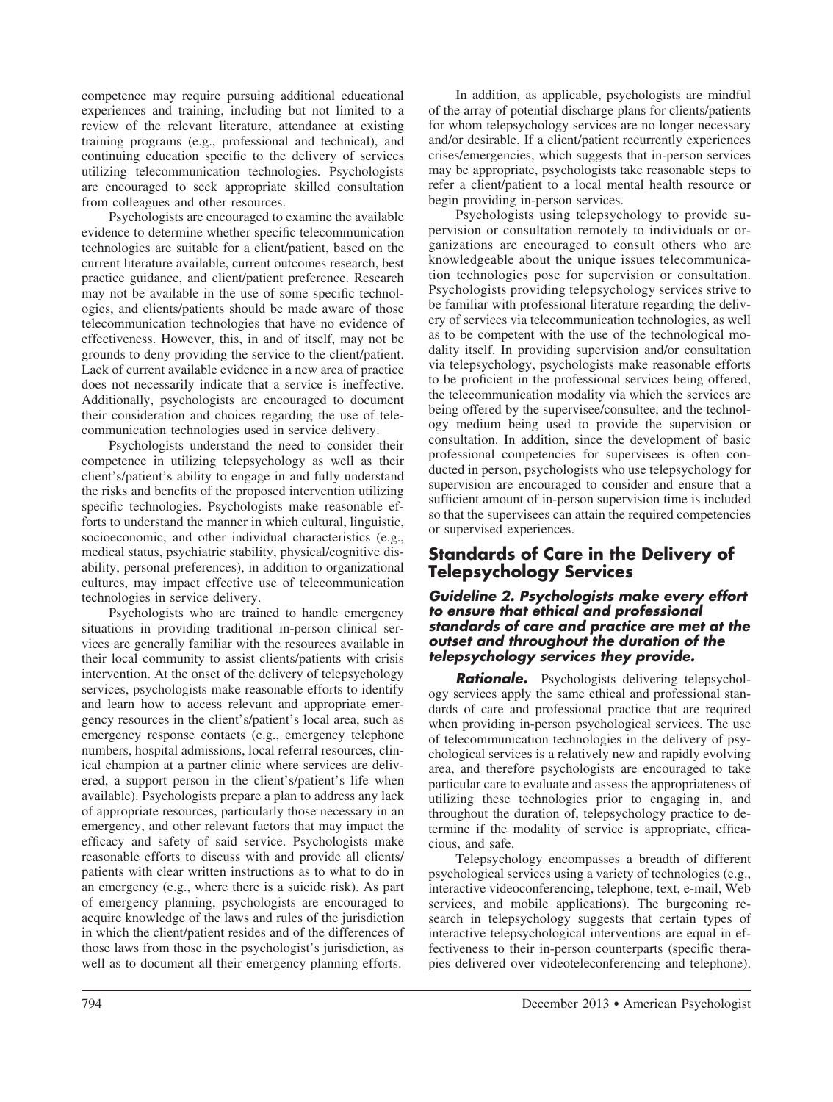competence may require pursuing additional educational experiences and training, including but not limited to a review of the relevant literature, attendance at existing training programs (e.g., professional and technical), and continuing education specific to the delivery of services utilizing telecommunication technologies. Psychologists are encouraged to seek appropriate skilled consultation from colleagues and other resources.

Psychologists are encouraged to examine the available evidence to determine whether specific telecommunication technologies are suitable for a client/patient, based on the current literature available, current outcomes research, best practice guidance, and client/patient preference. Research may not be available in the use of some specific technologies, and clients/patients should be made aware of those telecommunication technologies that have no evidence of effectiveness. However, this, in and of itself, may not be grounds to deny providing the service to the client/patient. Lack of current available evidence in a new area of practice does not necessarily indicate that a service is ineffective. Additionally, psychologists are encouraged to document their consideration and choices regarding the use of telecommunication technologies used in service delivery.

Psychologists understand the need to consider their competence in utilizing telepsychology as well as their client's/patient's ability to engage in and fully understand the risks and benefits of the proposed intervention utilizing specific technologies. Psychologists make reasonable efforts to understand the manner in which cultural, linguistic, socioeconomic, and other individual characteristics (e.g., medical status, psychiatric stability, physical/cognitive disability, personal preferences), in addition to organizational cultures, may impact effective use of telecommunication technologies in service delivery.

Psychologists who are trained to handle emergency situations in providing traditional in-person clinical services are generally familiar with the resources available in their local community to assist clients/patients with crisis intervention. At the onset of the delivery of telepsychology services, psychologists make reasonable efforts to identify and learn how to access relevant and appropriate emergency resources in the client's/patient's local area, such as emergency response contacts (e.g., emergency telephone numbers, hospital admissions, local referral resources, clinical champion at a partner clinic where services are delivered, a support person in the client's/patient's life when available). Psychologists prepare a plan to address any lack of appropriate resources, particularly those necessary in an emergency, and other relevant factors that may impact the efficacy and safety of said service. Psychologists make reasonable efforts to discuss with and provide all clients/ patients with clear written instructions as to what to do in an emergency (e.g., where there is a suicide risk). As part of emergency planning, psychologists are encouraged to acquire knowledge of the laws and rules of the jurisdiction in which the client/patient resides and of the differences of those laws from those in the psychologist's jurisdiction, as well as to document all their emergency planning efforts.

In addition, as applicable, psychologists are mindful of the array of potential discharge plans for clients/patients for whom telepsychology services are no longer necessary and/or desirable. If a client/patient recurrently experiences crises/emergencies, which suggests that in-person services may be appropriate, psychologists take reasonable steps to refer a client/patient to a local mental health resource or begin providing in-person services.

Psychologists using telepsychology to provide supervision or consultation remotely to individuals or organizations are encouraged to consult others who are knowledgeable about the unique issues telecommunication technologies pose for supervision or consultation. Psychologists providing telepsychology services strive to be familiar with professional literature regarding the delivery of services via telecommunication technologies, as well as to be competent with the use of the technological modality itself. In providing supervision and/or consultation via telepsychology, psychologists make reasonable efforts to be proficient in the professional services being offered, the telecommunication modality via which the services are being offered by the supervisee/consultee, and the technology medium being used to provide the supervision or consultation. In addition, since the development of basic professional competencies for supervisees is often conducted in person, psychologists who use telepsychology for supervision are encouraged to consider and ensure that a sufficient amount of in-person supervision time is included so that the supervisees can attain the required competencies or supervised experiences.

#### **Standards of Care in the Delivery of Telepsychology Services**

#### *Guideline 2. Psychologists make every effort to ensure that ethical and professional standards of care and practice are met at the outset and throughout the duration of the telepsychology services they provide.*

*Rationale.* Psychologists delivering telepsychology services apply the same ethical and professional standards of care and professional practice that are required when providing in-person psychological services. The use of telecommunication technologies in the delivery of psychological services is a relatively new and rapidly evolving area, and therefore psychologists are encouraged to take particular care to evaluate and assess the appropriateness of utilizing these technologies prior to engaging in, and throughout the duration of, telepsychology practice to determine if the modality of service is appropriate, efficacious, and safe.

Telepsychology encompasses a breadth of different psychological services using a variety of technologies (e.g., interactive videoconferencing, telephone, text, e-mail, Web services, and mobile applications). The burgeoning research in telepsychology suggests that certain types of interactive telepsychological interventions are equal in effectiveness to their in-person counterparts (specific therapies delivered over videoteleconferencing and telephone).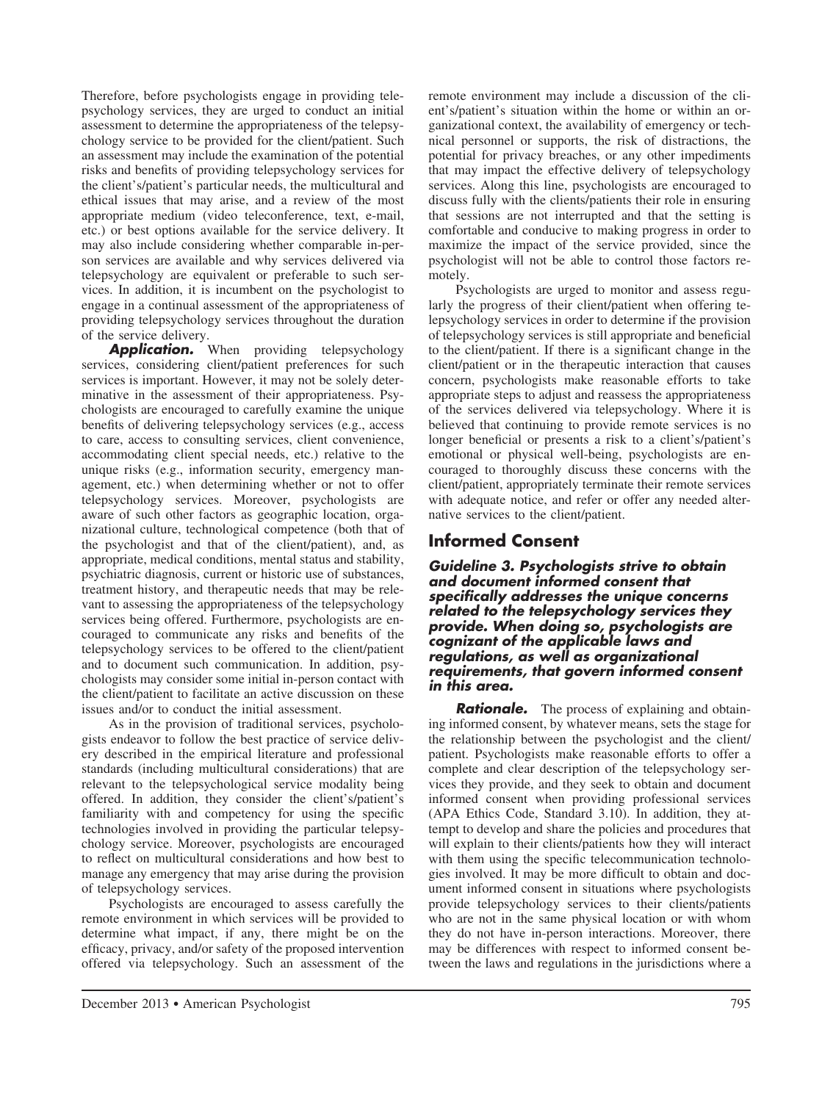Therefore, before psychologists engage in providing telepsychology services, they are urged to conduct an initial assessment to determine the appropriateness of the telepsychology service to be provided for the client/patient. Such an assessment may include the examination of the potential risks and benefits of providing telepsychology services for the client's/patient's particular needs, the multicultural and ethical issues that may arise, and a review of the most appropriate medium (video teleconference, text, e-mail, etc.) or best options available for the service delivery. It may also include considering whether comparable in-person services are available and why services delivered via telepsychology are equivalent or preferable to such services. In addition, it is incumbent on the psychologist to engage in a continual assessment of the appropriateness of providing telepsychology services throughout the duration of the service delivery.

**Application.** When providing telepsychology services, considering client/patient preferences for such services is important. However, it may not be solely determinative in the assessment of their appropriateness. Psychologists are encouraged to carefully examine the unique benefits of delivering telepsychology services (e.g., access to care, access to consulting services, client convenience, accommodating client special needs, etc.) relative to the unique risks (e.g., information security, emergency management, etc.) when determining whether or not to offer telepsychology services. Moreover, psychologists are aware of such other factors as geographic location, organizational culture, technological competence (both that of the psychologist and that of the client/patient), and, as appropriate, medical conditions, mental status and stability, psychiatric diagnosis, current or historic use of substances, treatment history, and therapeutic needs that may be relevant to assessing the appropriateness of the telepsychology services being offered. Furthermore, psychologists are encouraged to communicate any risks and benefits of the telepsychology services to be offered to the client/patient and to document such communication. In addition, psychologists may consider some initial in-person contact with the client/patient to facilitate an active discussion on these issues and/or to conduct the initial assessment.

As in the provision of traditional services, psychologists endeavor to follow the best practice of service delivery described in the empirical literature and professional standards (including multicultural considerations) that are relevant to the telepsychological service modality being offered. In addition, they consider the client's/patient's familiarity with and competency for using the specific technologies involved in providing the particular telepsychology service. Moreover, psychologists are encouraged to reflect on multicultural considerations and how best to manage any emergency that may arise during the provision of telepsychology services.

Psychologists are encouraged to assess carefully the remote environment in which services will be provided to determine what impact, if any, there might be on the efficacy, privacy, and/or safety of the proposed intervention offered via telepsychology. Such an assessment of the

remote environment may include a discussion of the client's/patient's situation within the home or within an organizational context, the availability of emergency or technical personnel or supports, the risk of distractions, the potential for privacy breaches, or any other impediments that may impact the effective delivery of telepsychology services. Along this line, psychologists are encouraged to discuss fully with the clients/patients their role in ensuring that sessions are not interrupted and that the setting is comfortable and conducive to making progress in order to maximize the impact of the service provided, since the psychologist will not be able to control those factors remotely.

Psychologists are urged to monitor and assess regularly the progress of their client/patient when offering telepsychology services in order to determine if the provision of telepsychology services is still appropriate and beneficial to the client/patient. If there is a significant change in the client/patient or in the therapeutic interaction that causes concern, psychologists make reasonable efforts to take appropriate steps to adjust and reassess the appropriateness of the services delivered via telepsychology. Where it is believed that continuing to provide remote services is no longer beneficial or presents a risk to a client's/patient's emotional or physical well-being, psychologists are encouraged to thoroughly discuss these concerns with the client/patient, appropriately terminate their remote services with adequate notice, and refer or offer any needed alternative services to the client/patient.

#### **Informed Consent**

*Guideline 3. Psychologists strive to obtain and document informed consent that specifically addresses the unique concerns related to the telepsychology services they provide. When doing so, psychologists are cognizant of the applicable laws and regulations, as well as organizational requirements, that govern informed consent in this area.*

*Rationale.* The process of explaining and obtaining informed consent, by whatever means, sets the stage for the relationship between the psychologist and the client/ patient. Psychologists make reasonable efforts to offer a complete and clear description of the telepsychology services they provide, and they seek to obtain and document informed consent when providing professional services (APA Ethics Code, Standard 3.10). In addition, they attempt to develop and share the policies and procedures that will explain to their clients/patients how they will interact with them using the specific telecommunication technologies involved. It may be more difficult to obtain and document informed consent in situations where psychologists provide telepsychology services to their clients/patients who are not in the same physical location or with whom they do not have in-person interactions. Moreover, there may be differences with respect to informed consent between the laws and regulations in the jurisdictions where a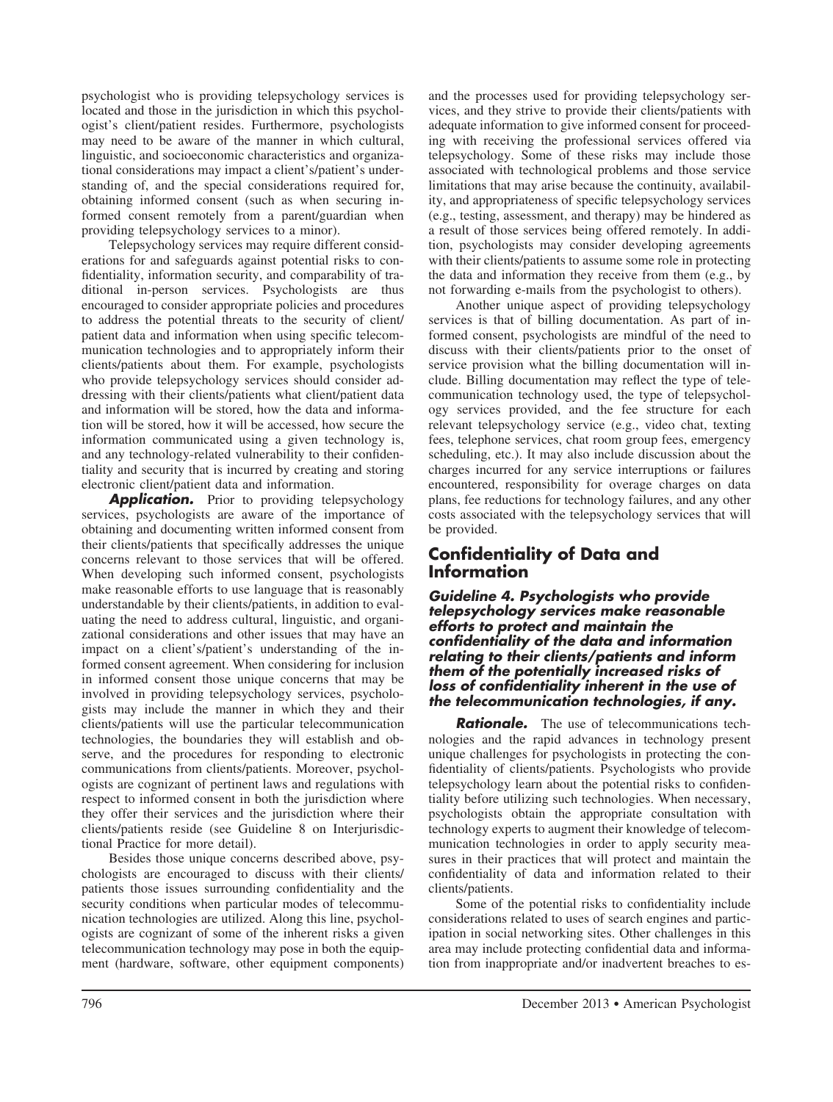psychologist who is providing telepsychology services is located and those in the jurisdiction in which this psychologist's client/patient resides. Furthermore, psychologists may need to be aware of the manner in which cultural, linguistic, and socioeconomic characteristics and organizational considerations may impact a client's/patient's understanding of, and the special considerations required for, obtaining informed consent (such as when securing informed consent remotely from a parent/guardian when providing telepsychology services to a minor).

Telepsychology services may require different considerations for and safeguards against potential risks to confidentiality, information security, and comparability of traditional in-person services. Psychologists are thus encouraged to consider appropriate policies and procedures to address the potential threats to the security of client/ patient data and information when using specific telecommunication technologies and to appropriately inform their clients/patients about them. For example, psychologists who provide telepsychology services should consider addressing with their clients/patients what client/patient data and information will be stored, how the data and information will be stored, how it will be accessed, how secure the information communicated using a given technology is, and any technology-related vulnerability to their confidentiality and security that is incurred by creating and storing electronic client/patient data and information.

**Application.** Prior to providing telepsychology services, psychologists are aware of the importance of obtaining and documenting written informed consent from their clients/patients that specifically addresses the unique concerns relevant to those services that will be offered. When developing such informed consent, psychologists make reasonable efforts to use language that is reasonably understandable by their clients/patients, in addition to evaluating the need to address cultural, linguistic, and organizational considerations and other issues that may have an impact on a client's/patient's understanding of the informed consent agreement. When considering for inclusion in informed consent those unique concerns that may be involved in providing telepsychology services, psychologists may include the manner in which they and their clients/patients will use the particular telecommunication technologies, the boundaries they will establish and observe, and the procedures for responding to electronic communications from clients/patients. Moreover, psychologists are cognizant of pertinent laws and regulations with respect to informed consent in both the jurisdiction where they offer their services and the jurisdiction where their clients/patients reside (see Guideline 8 on Interjurisdictional Practice for more detail).

Besides those unique concerns described above, psychologists are encouraged to discuss with their clients/ patients those issues surrounding confidentiality and the security conditions when particular modes of telecommunication technologies are utilized. Along this line, psychologists are cognizant of some of the inherent risks a given telecommunication technology may pose in both the equipment (hardware, software, other equipment components)

and the processes used for providing telepsychology services, and they strive to provide their clients/patients with adequate information to give informed consent for proceeding with receiving the professional services offered via telepsychology. Some of these risks may include those associated with technological problems and those service limitations that may arise because the continuity, availability, and appropriateness of specific telepsychology services (e.g., testing, assessment, and therapy) may be hindered as a result of those services being offered remotely. In addition, psychologists may consider developing agreements with their clients/patients to assume some role in protecting the data and information they receive from them (e.g., by not forwarding e-mails from the psychologist to others).

Another unique aspect of providing telepsychology services is that of billing documentation. As part of informed consent, psychologists are mindful of the need to discuss with their clients/patients prior to the onset of service provision what the billing documentation will include. Billing documentation may reflect the type of telecommunication technology used, the type of telepsychology services provided, and the fee structure for each relevant telepsychology service (e.g., video chat, texting fees, telephone services, chat room group fees, emergency scheduling, etc.). It may also include discussion about the charges incurred for any service interruptions or failures encountered, responsibility for overage charges on data plans, fee reductions for technology failures, and any other costs associated with the telepsychology services that will be provided.

### **Confidentiality of Data and Information**

*Guideline 4. Psychologists who provide telepsychology services make reasonable efforts to protect and maintain the confidentiality of the data and information relating to their clients/patients and inform them of the potentially increased risks of loss of confidentiality inherent in the use of the telecommunication technologies, if any.*

*Rationale.* The use of telecommunications technologies and the rapid advances in technology present unique challenges for psychologists in protecting the confidentiality of clients/patients. Psychologists who provide telepsychology learn about the potential risks to confidentiality before utilizing such technologies. When necessary, psychologists obtain the appropriate consultation with technology experts to augment their knowledge of telecommunication technologies in order to apply security measures in their practices that will protect and maintain the confidentiality of data and information related to their clients/patients.

Some of the potential risks to confidentiality include considerations related to uses of search engines and participation in social networking sites. Other challenges in this area may include protecting confidential data and information from inappropriate and/or inadvertent breaches to es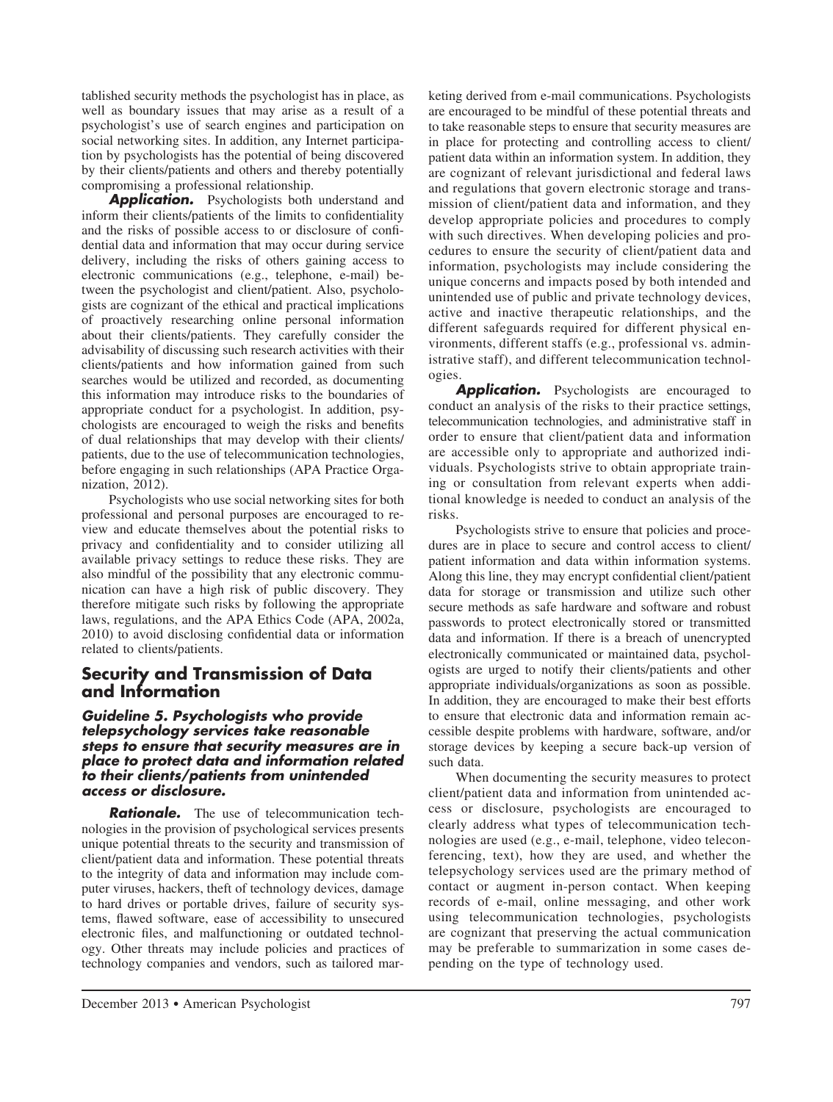tablished security methods the psychologist has in place, as well as boundary issues that may arise as a result of a psychologist's use of search engines and participation on social networking sites. In addition, any Internet participation by psychologists has the potential of being discovered by their clients/patients and others and thereby potentially compromising a professional relationship.

*Application.* Psychologists both understand and inform their clients/patients of the limits to confidentiality and the risks of possible access to or disclosure of confidential data and information that may occur during service delivery, including the risks of others gaining access to electronic communications (e.g., telephone, e-mail) between the psychologist and client/patient. Also, psychologists are cognizant of the ethical and practical implications of proactively researching online personal information about their clients/patients. They carefully consider the advisability of discussing such research activities with their clients/patients and how information gained from such searches would be utilized and recorded, as documenting this information may introduce risks to the boundaries of appropriate conduct for a psychologist. In addition, psychologists are encouraged to weigh the risks and benefits of dual relationships that may develop with their clients/ patients, due to the use of telecommunication technologies, before engaging in such relationships (APA Practice Organization, 2012).

Psychologists who use social networking sites for both professional and personal purposes are encouraged to review and educate themselves about the potential risks to privacy and confidentiality and to consider utilizing all available privacy settings to reduce these risks. They are also mindful of the possibility that any electronic communication can have a high risk of public discovery. They therefore mitigate such risks by following the appropriate laws, regulations, and the APA Ethics Code (APA, 2002a, 2010) to avoid disclosing confidential data or information related to clients/patients.

### **Security and Transmission of Data and Information**

#### *Guideline 5. Psychologists who provide telepsychology services take reasonable steps to ensure that security measures are in place to protect data and information related to their clients/patients from unintended access or disclosure.*

*Rationale.* The use of telecommunication technologies in the provision of psychological services presents unique potential threats to the security and transmission of client/patient data and information. These potential threats to the integrity of data and information may include computer viruses, hackers, theft of technology devices, damage to hard drives or portable drives, failure of security systems, flawed software, ease of accessibility to unsecured electronic files, and malfunctioning or outdated technology. Other threats may include policies and practices of technology companies and vendors, such as tailored marketing derived from e-mail communications. Psychologists are encouraged to be mindful of these potential threats and to take reasonable steps to ensure that security measures are in place for protecting and controlling access to client/ patient data within an information system. In addition, they are cognizant of relevant jurisdictional and federal laws and regulations that govern electronic storage and transmission of client/patient data and information, and they develop appropriate policies and procedures to comply with such directives. When developing policies and procedures to ensure the security of client/patient data and information, psychologists may include considering the unique concerns and impacts posed by both intended and unintended use of public and private technology devices, active and inactive therapeutic relationships, and the different safeguards required for different physical environments, different staffs (e.g., professional vs. administrative staff), and different telecommunication technologies.

**Application.** Psychologists are encouraged to conduct an analysis of the risks to their practice settings, telecommunication technologies, and administrative staff in order to ensure that client/patient data and information are accessible only to appropriate and authorized individuals. Psychologists strive to obtain appropriate training or consultation from relevant experts when additional knowledge is needed to conduct an analysis of the risks.

Psychologists strive to ensure that policies and procedures are in place to secure and control access to client/ patient information and data within information systems. Along this line, they may encrypt confidential client/patient data for storage or transmission and utilize such other secure methods as safe hardware and software and robust passwords to protect electronically stored or transmitted data and information. If there is a breach of unencrypted electronically communicated or maintained data, psychologists are urged to notify their clients/patients and other appropriate individuals/organizations as soon as possible. In addition, they are encouraged to make their best efforts to ensure that electronic data and information remain accessible despite problems with hardware, software, and/or storage devices by keeping a secure back-up version of such data.

When documenting the security measures to protect client/patient data and information from unintended access or disclosure, psychologists are encouraged to clearly address what types of telecommunication technologies are used (e.g., e-mail, telephone, video teleconferencing, text), how they are used, and whether the telepsychology services used are the primary method of contact or augment in-person contact. When keeping records of e-mail, online messaging, and other work using telecommunication technologies, psychologists are cognizant that preserving the actual communication may be preferable to summarization in some cases depending on the type of technology used.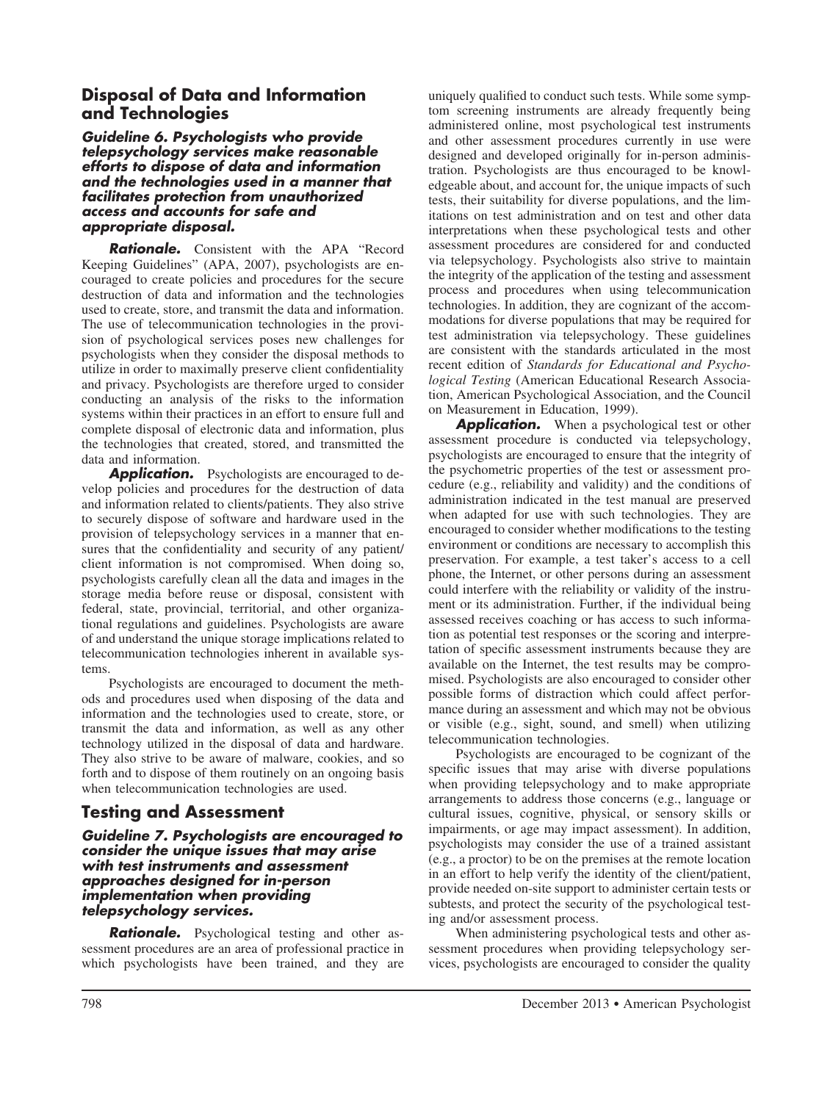#### **Disposal of Data and Information and Technologies**

*Guideline 6. Psychologists who provide telepsychology services make reasonable efforts to dispose of data and information and the technologies used in a manner that facilitates protection from unauthorized access and accounts for safe and appropriate disposal.*

*Rationale.* Consistent with the APA "Record Keeping Guidelines" (APA, 2007), psychologists are encouraged to create policies and procedures for the secure destruction of data and information and the technologies used to create, store, and transmit the data and information. The use of telecommunication technologies in the provision of psychological services poses new challenges for psychologists when they consider the disposal methods to utilize in order to maximally preserve client confidentiality and privacy. Psychologists are therefore urged to consider conducting an analysis of the risks to the information systems within their practices in an effort to ensure full and complete disposal of electronic data and information, plus the technologies that created, stored, and transmitted the data and information.

**Application.** Psychologists are encouraged to develop policies and procedures for the destruction of data and information related to clients/patients. They also strive to securely dispose of software and hardware used in the provision of telepsychology services in a manner that ensures that the confidentiality and security of any patient/ client information is not compromised. When doing so, psychologists carefully clean all the data and images in the storage media before reuse or disposal, consistent with federal, state, provincial, territorial, and other organizational regulations and guidelines. Psychologists are aware of and understand the unique storage implications related to telecommunication technologies inherent in available systems.

Psychologists are encouraged to document the methods and procedures used when disposing of the data and information and the technologies used to create, store, or transmit the data and information, as well as any other technology utilized in the disposal of data and hardware. They also strive to be aware of malware, cookies, and so forth and to dispose of them routinely on an ongoing basis when telecommunication technologies are used.

### **Testing and Assessment**

*Guideline 7. Psychologists are encouraged to consider the unique issues that may arise with test instruments and assessment approaches designed for in-person implementation when providing telepsychology services.*

**Rationale.** Psychological testing and other assessment procedures are an area of professional practice in which psychologists have been trained, and they are uniquely qualified to conduct such tests. While some symptom screening instruments are already frequently being administered online, most psychological test instruments and other assessment procedures currently in use were designed and developed originally for in-person administration. Psychologists are thus encouraged to be knowledgeable about, and account for, the unique impacts of such tests, their suitability for diverse populations, and the limitations on test administration and on test and other data interpretations when these psychological tests and other assessment procedures are considered for and conducted via telepsychology. Psychologists also strive to maintain the integrity of the application of the testing and assessment process and procedures when using telecommunication technologies. In addition, they are cognizant of the accommodations for diverse populations that may be required for test administration via telepsychology. These guidelines are consistent with the standards articulated in the most recent edition of *Standards for Educational and Psychological Testing* (American Educational Research Association, American Psychological Association, and the Council on Measurement in Education, 1999).

**Application.** When a psychological test or other assessment procedure is conducted via telepsychology, psychologists are encouraged to ensure that the integrity of the psychometric properties of the test or assessment procedure (e.g., reliability and validity) and the conditions of administration indicated in the test manual are preserved when adapted for use with such technologies. They are encouraged to consider whether modifications to the testing environment or conditions are necessary to accomplish this preservation. For example, a test taker's access to a cell phone, the Internet, or other persons during an assessment could interfere with the reliability or validity of the instrument or its administration. Further, if the individual being assessed receives coaching or has access to such information as potential test responses or the scoring and interpretation of specific assessment instruments because they are available on the Internet, the test results may be compromised. Psychologists are also encouraged to consider other possible forms of distraction which could affect performance during an assessment and which may not be obvious or visible (e.g., sight, sound, and smell) when utilizing telecommunication technologies.

Psychologists are encouraged to be cognizant of the specific issues that may arise with diverse populations when providing telepsychology and to make appropriate arrangements to address those concerns (e.g., language or cultural issues, cognitive, physical, or sensory skills or impairments, or age may impact assessment). In addition, psychologists may consider the use of a trained assistant (e.g., a proctor) to be on the premises at the remote location in an effort to help verify the identity of the client/patient, provide needed on-site support to administer certain tests or subtests, and protect the security of the psychological testing and/or assessment process.

When administering psychological tests and other assessment procedures when providing telepsychology services, psychologists are encouraged to consider the quality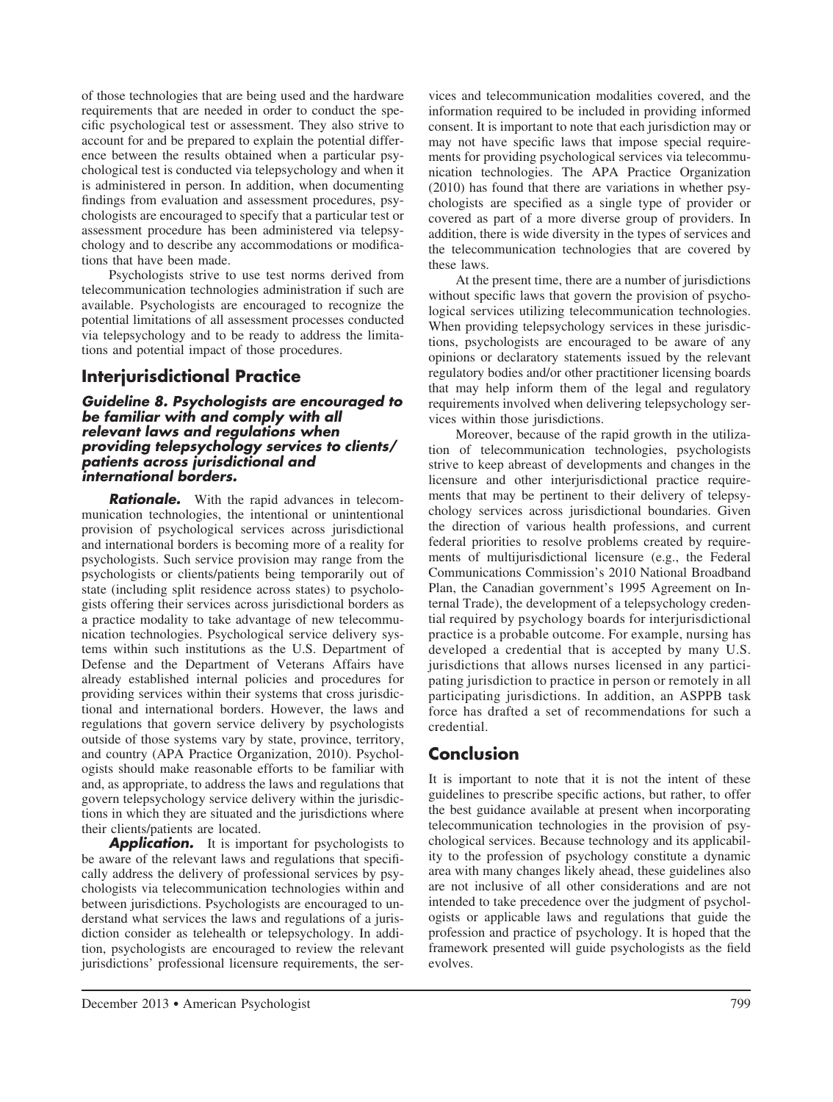of those technologies that are being used and the hardware requirements that are needed in order to conduct the specific psychological test or assessment. They also strive to account for and be prepared to explain the potential difference between the results obtained when a particular psychological test is conducted via telepsychology and when it is administered in person. In addition, when documenting findings from evaluation and assessment procedures, psychologists are encouraged to specify that a particular test or assessment procedure has been administered via telepsychology and to describe any accommodations or modifications that have been made.

Psychologists strive to use test norms derived from telecommunication technologies administration if such are available. Psychologists are encouraged to recognize the potential limitations of all assessment processes conducted via telepsychology and to be ready to address the limitations and potential impact of those procedures.

### **Interjurisdictional Practice**

#### *Guideline 8. Psychologists are encouraged to be familiar with and comply with all relevant laws and regulations when providing telepsychology services to clients/ patients across jurisdictional and international borders.*

*Rationale.* With the rapid advances in telecommunication technologies, the intentional or unintentional provision of psychological services across jurisdictional and international borders is becoming more of a reality for psychologists. Such service provision may range from the psychologists or clients/patients being temporarily out of state (including split residence across states) to psychologists offering their services across jurisdictional borders as a practice modality to take advantage of new telecommunication technologies. Psychological service delivery systems within such institutions as the U.S. Department of Defense and the Department of Veterans Affairs have already established internal policies and procedures for providing services within their systems that cross jurisdictional and international borders. However, the laws and regulations that govern service delivery by psychologists outside of those systems vary by state, province, territory, and country (APA Practice Organization, 2010). Psychologists should make reasonable efforts to be familiar with and, as appropriate, to address the laws and regulations that govern telepsychology service delivery within the jurisdictions in which they are situated and the jurisdictions where their clients/patients are located.

**Application.** It is important for psychologists to be aware of the relevant laws and regulations that specifically address the delivery of professional services by psychologists via telecommunication technologies within and between jurisdictions. Psychologists are encouraged to understand what services the laws and regulations of a jurisdiction consider as telehealth or telepsychology. In addition, psychologists are encouraged to review the relevant jurisdictions' professional licensure requirements, the services and telecommunication modalities covered, and the information required to be included in providing informed consent. It is important to note that each jurisdiction may or may not have specific laws that impose special requirements for providing psychological services via telecommunication technologies. The APA Practice Organization (2010) has found that there are variations in whether psychologists are specified as a single type of provider or covered as part of a more diverse group of providers. In addition, there is wide diversity in the types of services and the telecommunication technologies that are covered by these laws.

At the present time, there are a number of jurisdictions without specific laws that govern the provision of psychological services utilizing telecommunication technologies. When providing telepsychology services in these jurisdictions, psychologists are encouraged to be aware of any opinions or declaratory statements issued by the relevant regulatory bodies and/or other practitioner licensing boards that may help inform them of the legal and regulatory requirements involved when delivering telepsychology services within those jurisdictions.

Moreover, because of the rapid growth in the utilization of telecommunication technologies, psychologists strive to keep abreast of developments and changes in the licensure and other interjurisdictional practice requirements that may be pertinent to their delivery of telepsychology services across jurisdictional boundaries. Given the direction of various health professions, and current federal priorities to resolve problems created by requirements of multijurisdictional licensure (e.g., the Federal Communications Commission's 2010 National Broadband Plan, the Canadian government's 1995 Agreement on Internal Trade), the development of a telepsychology credential required by psychology boards for interjurisdictional practice is a probable outcome. For example, nursing has developed a credential that is accepted by many U.S. jurisdictions that allows nurses licensed in any participating jurisdiction to practice in person or remotely in all participating jurisdictions. In addition, an ASPPB task force has drafted a set of recommendations for such a credential.

### **Conclusion**

It is important to note that it is not the intent of these guidelines to prescribe specific actions, but rather, to offer the best guidance available at present when incorporating telecommunication technologies in the provision of psychological services. Because technology and its applicability to the profession of psychology constitute a dynamic area with many changes likely ahead, these guidelines also are not inclusive of all other considerations and are not intended to take precedence over the judgment of psychologists or applicable laws and regulations that guide the profession and practice of psychology. It is hoped that the framework presented will guide psychologists as the field evolves.